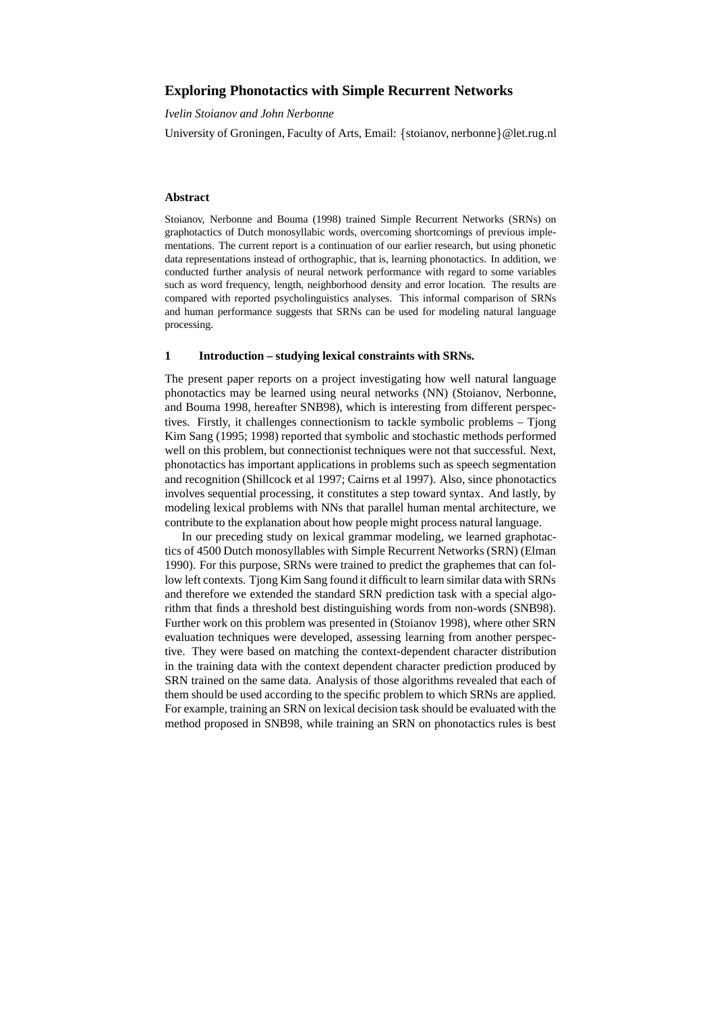# **Exploring Phonotactics with Simple Recurrent Networks**

*Ivelin Stoianov and John Nerbonne*

University of Groningen, Faculty of Arts, Email: {stoianov, nerbonne}@let.rug.nl

#### **Abstract**

Stoianov, Nerbonne and Bouma (1998) trained Simple Recurrent Networks (SRNs) on graphotactics of Dutch monosyllabic words, overcoming shortcomings of previous implementations. The current report is a continuation of our earlier research, but using phonetic data representations instead of orthographic, that is, learning phonotactics. In addition, we conducted further analysis of neural network performance with regard to some variables such as word frequency, length, neighborhood density and error location. The results are compared with reported psycholinguistics analyses. This informal comparison of SRNs and human performance suggests that SRNs can be used for modeling natural language processing.

#### **1 Introduction – studying lexical constraints with SRNs.**

The present paper reports on a project investigating how well natural language phonotactics may be learned using neural networks (NN) (Stoianov, Nerbonne, and Bouma 1998, hereafter SNB98), which is interesting from different perspectives. Firstly, it challenges connectionism to tackle symbolic problems – Tjong Kim Sang (1995; 1998) reported that symbolic and stochastic methods performed well on this problem, but connectionist techniques were not that successful. Next, phonotactics has important applications in problems such as speech segmentation and recognition (Shillcock et al 1997; Cairns et al 1997). Also, since phonotactics involves sequential processing, it constitutes a step toward syntax. And lastly, by modeling lexical problems with NNs that parallel human mental architecture, we contribute to the explanation about how people might process natural language.

In our preceding study on lexical grammar modeling, we learned graphotactics of 4500 Dutch monosyllables with Simple Recurrent Networks (SRN) (Elman 1990). For this purpose, SRNs were trained to predict the graphemes that can follow left contexts. Tjong Kim Sang found it difficult to learn similar data with SRNs and therefore we extended the standard SRN prediction task with a special algorithm that finds a threshold best distinguishing words from non-words (SNB98). Further work on this problem was presented in (Stoianov 1998), where other SRN evaluation techniques were developed, assessing learning from another perspective. They were based on matching the context-dependent character distribution in the training data with the context dependent character prediction produced by SRN trained on the same data. Analysis of those algorithms revealed that each of them should be used according to the specific problem to which SRNs are applied. For example, training an SRN on lexical decision task should be evaluated with the method proposed in SNB98, while training an SRN on phonotactics rules is best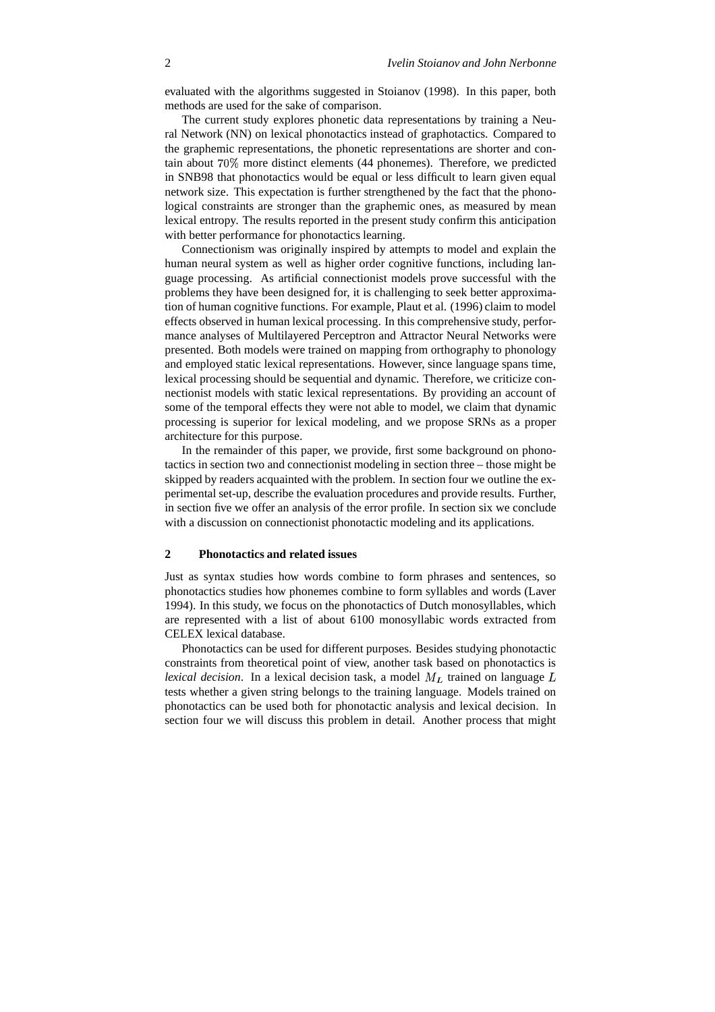evaluated with the algorithms suggested in Stoianov (1998). In this paper, both methods are used for the sake of comparison.

The current study explores phonetic data representations by training a Neural Network (NN) on lexical phonotactics instead of graphotactics. Compared to the graphemic representations, the phonetic representations are shorter and contain about 70% more distinct elements (44 phonemes). Therefore, we predicted in SNB98 that phonotactics would be equal or less difficult to learn given equal network size. This expectation is further strengthened by the fact that the phonological constraints are stronger than the graphemic ones, as measured by mean lexical entropy. The results reported in the present study confirm this anticipation with better performance for phonotactics learning.

Connectionism was originally inspired by attempts to model and explain the human neural system as well as higher order cognitive functions, including language processing. As artificial connectionist models prove successful with the problems they have been designed for, it is challenging to seek better approximation of human cognitive functions. For example, Plaut et al. (1996) claim to model effects observed in human lexical processing. In this comprehensive study, performance analyses of Multilayered Perceptron and Attractor Neural Networks were presented. Both models were trained on mapping from orthography to phonology and employed static lexical representations. However, since language spans time, lexical processing should be sequential and dynamic. Therefore, we criticize connectionist models with static lexical representations. By providing an account of some of the temporal effects they were not able to model, we claim that dynamic processing is superior for lexical modeling, and we propose SRNs as a proper architecture for this purpose.

In the remainder of this paper, we provide, first some background on phonotactics in section two and connectionist modeling in section three – those might be skipped by readers acquainted with the problem. In section four we outline the experimental set-up, describe the evaluation procedures and provide results. Further, in section five we offer an analysis of the error profile. In section six we conclude with a discussion on connectionist phonotactic modeling and its applications.

## **2 Phonotactics and related issues**

Just as syntax studies how words combine to form phrases and sentences, so phonotactics studies how phonemes combine to form syllables and words (Laver 1994). In this study, we focus on the phonotactics of Dutch monosyllables, which are represented with a list of about 6100 monosyllabic words extracted from CELEX lexical database.

Phonotactics can be used for different purposes. Besides studying phonotactic constraints from theoretical point of view, another task based on phonotactics is *lexical decision*. In a lexical decision task, a model  $M_L$  trained on language  $L$ tests whether a given string belongs to the training language. Models trained on phonotactics can be used both for phonotactic analysis and lexical decision. In section four we will discuss this problem in detail. Another process that might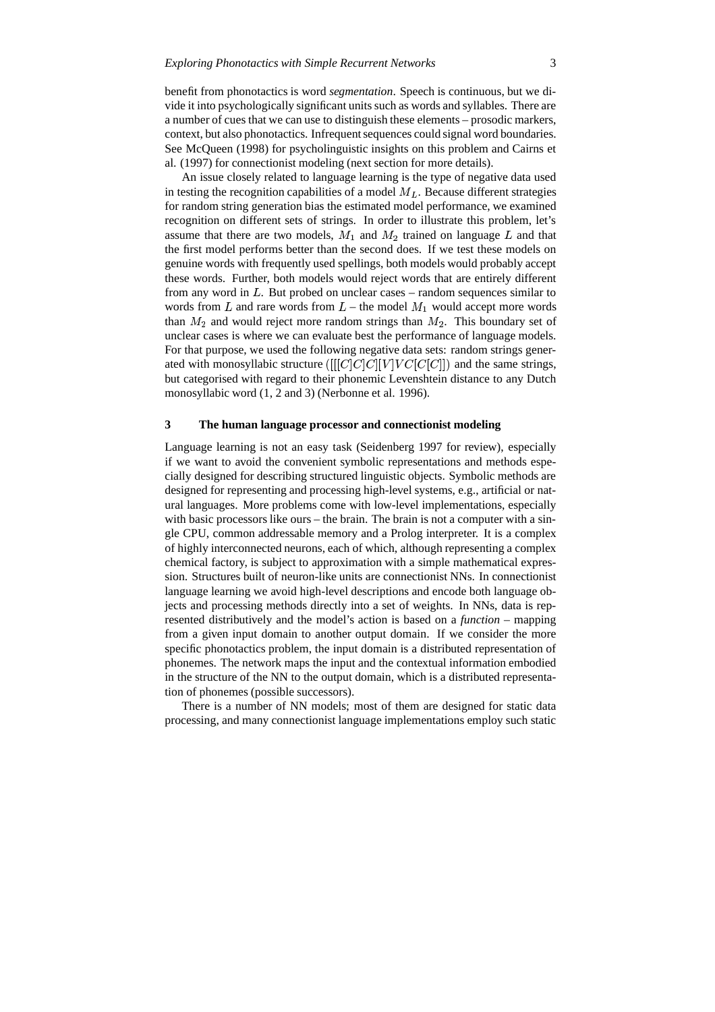benefit from phonotactics is word *segmentation*. Speech is continuous, but we divide it into psychologically significant units such as words and syllables. There are a number of cues that we can use to distinguish these elements – prosodic markers, context, but also phonotactics. Infrequentsequences could signal word boundaries. See McQueen (1998) for psycholinguistic insights on this problem and Cairns et al. (1997) for connectionist modeling (next section for more details).

An issue closely related to language learning is the type of negative data used in testing the recognition capabilities of a model  $M_L$ . Because different strategies for random string generation bias the estimated model performance, we examined recognition on different sets of strings. In order to illustrate this problem, let's assume that there are two models,  $M_1$  and  $M_2$  trained on language L and that the first model performs better than the second does. If we test these models on genuine words with frequently used spellings, both models would probably accept these words. Further, both models would reject words that are entirely different from any word in  $L$ . But probed on unclear cases – random sequences similar to words from  $L$  and rare words from  $L$  – the model  $M_1$  would accept more words than  $M_2$  and would reject more random strings than  $M_2$ . This boundary set of unclear cases is where we can evaluate best the performance of language models. For that purpose, we used the following negative data sets: random strings generated with monosyllabic structure  $([[C]C]C][V]VC[C][V])$  and the same strings, but categorised with regard to their phonemic Levenshtein distance to any Dutch monosyllabic word (1, 2 and 3) (Nerbonne et al. 1996).

#### **3 The human language processor and connectionist modeling**

Language learning is not an easy task (Seidenberg 1997 for review), especially if we want to avoid the convenient symbolic representations and methods especially designed for describing structured linguistic objects. Symbolic methods are designed for representing and processing high-level systems, e.g., artificial or natural languages. More problems come with low-level implementations, especially with basic processors like ours – the brain. The brain is not a computer with a single CPU, common addressable memory and a Prolog interpreter. It is a complex of highly interconnected neurons, each of which, although representing a complex chemical factory, is subject to approximation with a simple mathematical expression. Structures built of neuron-like units are connectionist NNs. In connectionist language learning we avoid high-level descriptions and encode both language objects and processing methods directly into a set of weights. In NNs, data is represented distributively and the model's action is based on a *function* – mapping from a given input domain to another output domain. If we consider the more specific phonotactics problem, the input domain is a distributed representation of phonemes. The network maps the input and the contextual information embodied in the structure of the NN to the output domain, which is a distributed representation of phonemes (possible successors).

There is a number of NN models; most of them are designed for static data processing, and many connectionist language implementations employ such static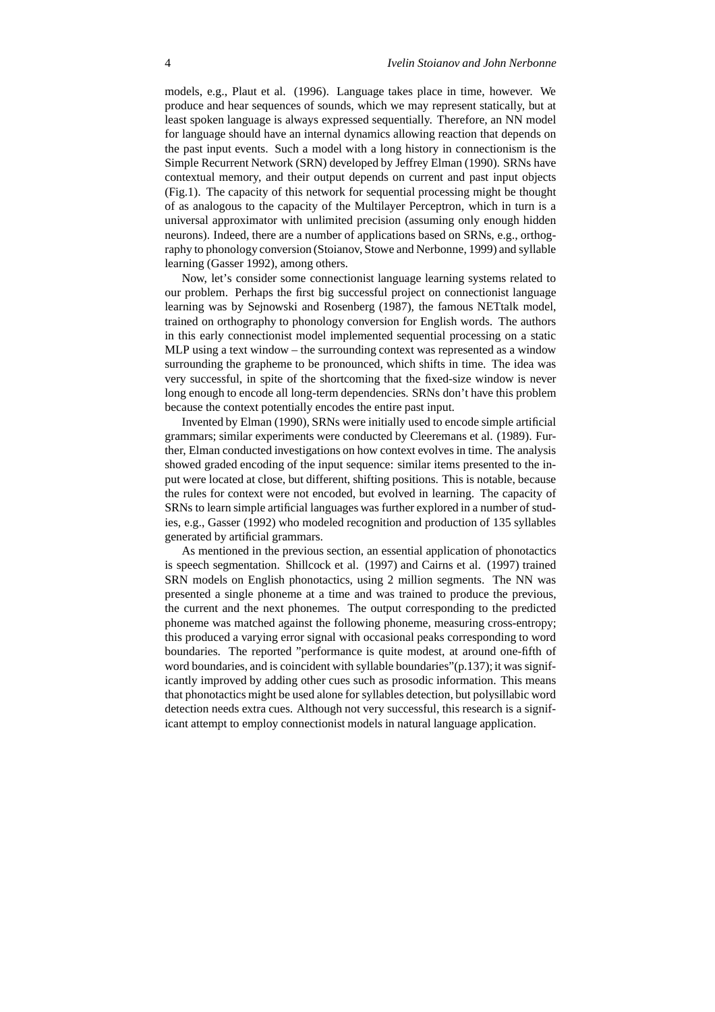models, e.g., Plaut et al. (1996). Language takes place in time, however. We produce and hear sequences of sounds, which we may represent statically, but at least spoken language is always expressed sequentially. Therefore, an NN model for language should have an internal dynamics allowing reaction that depends on the past input events. Such a model with a long history in connectionism is the Simple Recurrent Network (SRN) developed by Jeffrey Elman (1990). SRNs have contextual memory, and their output depends on current and past input objects (Fig.1). The capacity of this network for sequential processing might be thought of as analogous to the capacity of the Multilayer Perceptron, which in turn is a universal approximator with unlimited precision (assuming only enough hidden neurons). Indeed, there are a number of applications based on SRNs, e.g., orthography to phonology conversion (Stoianov, Stowe and Nerbonne, 1999) and syllable learning (Gasser 1992), among others.

Now, let's consider some connectionist language learning systems related to our problem. Perhaps the first big successful project on connectionist language learning was by Sejnowski and Rosenberg (1987), the famous NETtalk model, trained on orthography to phonology conversion for English words. The authors in this early connectionist model implemented sequential processing on a static MLP using a text window – the surrounding context was represented as a window surrounding the grapheme to be pronounced, which shifts in time. The idea was very successful, in spite of the shortcoming that the fixed-size window is never long enough to encode all long-term dependencies. SRNs don't have this problem because the context potentially encodes the entire past input.

Invented by Elman (1990), SRNs were initially used to encode simple artificial grammars; similar experiments were conducted by Cleeremans et al. (1989). Further, Elman conducted investigations on how context evolves in time. The analysis showed graded encoding of the input sequence: similar items presented to the input were located at close, but different, shifting positions. This is notable, because the rules for context were not encoded, but evolved in learning. The capacity of SRNs to learn simple artificial languages was further explored in a number of studies, e.g., Gasser (1992) who modeled recognition and production of 135 syllables generated by artificial grammars.

As mentioned in the previous section, an essential application of phonotactics is speech segmentation. Shillcock et al. (1997) and Cairns et al. (1997) trained SRN models on English phonotactics, using 2 million segments. The NN was presented a single phoneme at a time and was trained to produce the previous, the current and the next phonemes. The output corresponding to the predicted phoneme was matched against the following phoneme, measuring cross-entropy; this produced a varying error signal with occasional peaks corresponding to word boundaries. The reported "performance is quite modest, at around one-fifth of word boundaries, and is coincident with syllable boundaries"(p.137); it was significantly improved by adding other cues such as prosodic information. This means that phonotactics might be used alone for syllables detection, but polysillabic word detection needs extra cues. Although not very successful, this research is a significant attempt to employ connectionist models in natural language application.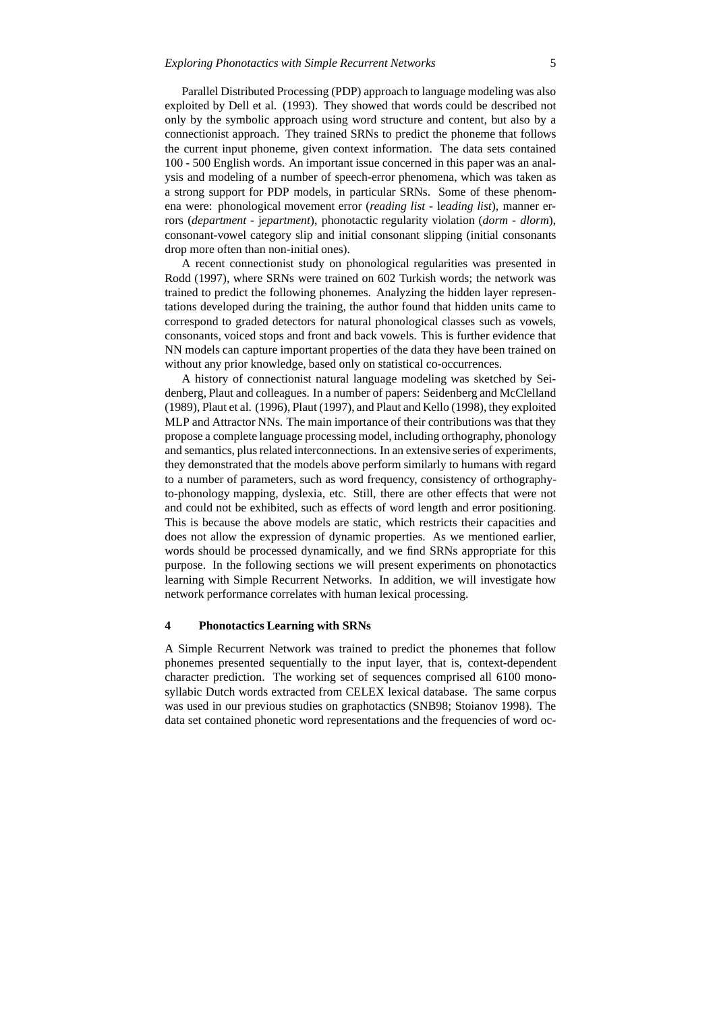Parallel Distributed Processing (PDP) approach to language modeling was also exploited by Dell et al. (1993). They showed that words could be described not only by the symbolic approach using word structure and content, but also by a connectionist approach. They trained SRNs to predict the phoneme that follows the current input phoneme, given context information. The data sets contained 100 - 500 English words. An important issue concerned in this paper was an analysis and modeling of a number of speech-error phenomena, which was taken as a strong support for PDP models, in particular SRNs. Some of these phenomena were: phonological movement error (*reading list -* l*eading list*), manner errors (*department -* j*epartment*), phonotactic regularity violation (*dorm - dlorm*), consonant-vowel category slip and initial consonant slipping (initial consonants drop more often than non-initial ones).

A recent connectionist study on phonological regularities was presented in Rodd (1997), where SRNs were trained on 602 Turkish words; the network was trained to predict the following phonemes. Analyzing the hidden layer representations developed during the training, the author found that hidden units came to correspond to graded detectors for natural phonological classes such as vowels, consonants, voiced stops and front and back vowels. This is further evidence that NN models can capture important properties of the data they have been trained on without any prior knowledge, based only on statistical co-occurrences.

A history of connectionist natural language modeling was sketched by Seidenberg, Plaut and colleagues. In a number of papers: Seidenberg and McClelland (1989), Plaut et al. (1996), Plaut (1997), and Plaut and Kello (1998), they exploited MLP and Attractor NNs. The main importance of their contributions was that they propose a complete language processing model, including orthography, phonology and semantics, plus related interconnections. In an extensive series of experiments, they demonstrated that the models above perform similarly to humans with regard to a number of parameters, such as word frequency, consistency of orthographyto-phonology mapping, dyslexia, etc. Still, there are other effects that were not and could not be exhibited, such as effects of word length and error positioning. This is because the above models are static, which restricts their capacities and does not allow the expression of dynamic properties. As we mentioned earlier, words should be processed dynamically, and we find SRNs appropriate for this purpose. In the following sections we will present experiments on phonotactics learning with Simple Recurrent Networks. In addition, we will investigate how network performance correlates with human lexical processing.

## **4 Phonotactics Learning with SRNs**

A Simple Recurrent Network was trained to predict the phonemes that follow phonemes presented sequentially to the input layer, that is, context-dependent character prediction. The working set of sequences comprised all 6100 monosyllabic Dutch words extracted from CELEX lexical database. The same corpus was used in our previous studies on graphotactics (SNB98; Stoianov 1998). The data set contained phonetic word representations and the frequencies of word oc-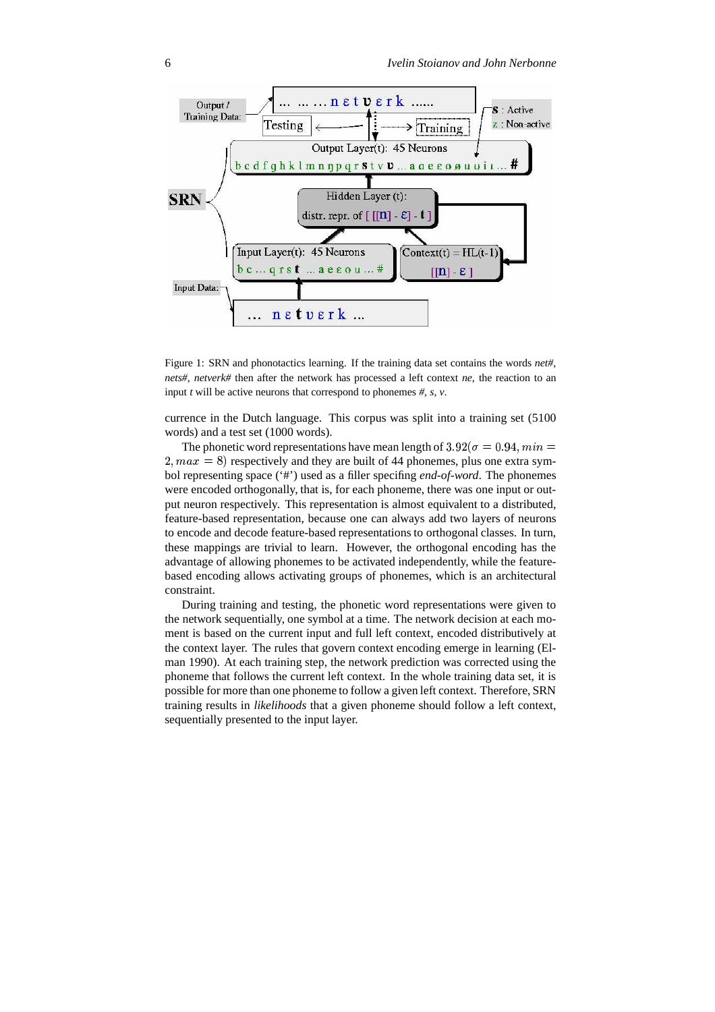



currence in the Dutch language. This corpus was split into a training set (5100 words) and a test set (1000 words).

The phonetic word representations have mean length of  $3.92(\sigma = 0.94, min =$  $r = 2, max = 8$  respectively and they are built of 44 phonemes, plus one extra symbol representing space ('#') used as a filler specifing *end-of-word*. The phonemes were encoded orthogonally, that is, for each phoneme, there was one input or output neuron respectively. This representation is almost equivalent to a distributed, feature-based representation, because one can always add two layers of neurons to encode and decode feature-based representations to orthogonal classes. In turn, these mappings are trivial to learn. However, the orthogonal encoding has the advantage of allowing phonemes to be activated independently, while the featurebased encoding allows activating groups of phonemes, which is an architectural constraint.

During training and testing, the phonetic word representations were given to the network sequentially, one symbol at a time. The network decision at each moment is based on the current input and full left context, encoded distributively at the context layer. The rules that govern context encoding emerge in learning (Elman 1990). At each training step, the network prediction was corrected using the phoneme that follows the current left context. In the whole training data set, it is possible for more than one phoneme to follow a given left context. Therefore, SRN training results in *likelihoods* that a given phoneme should follow a left context, sequentially presented to the input layer.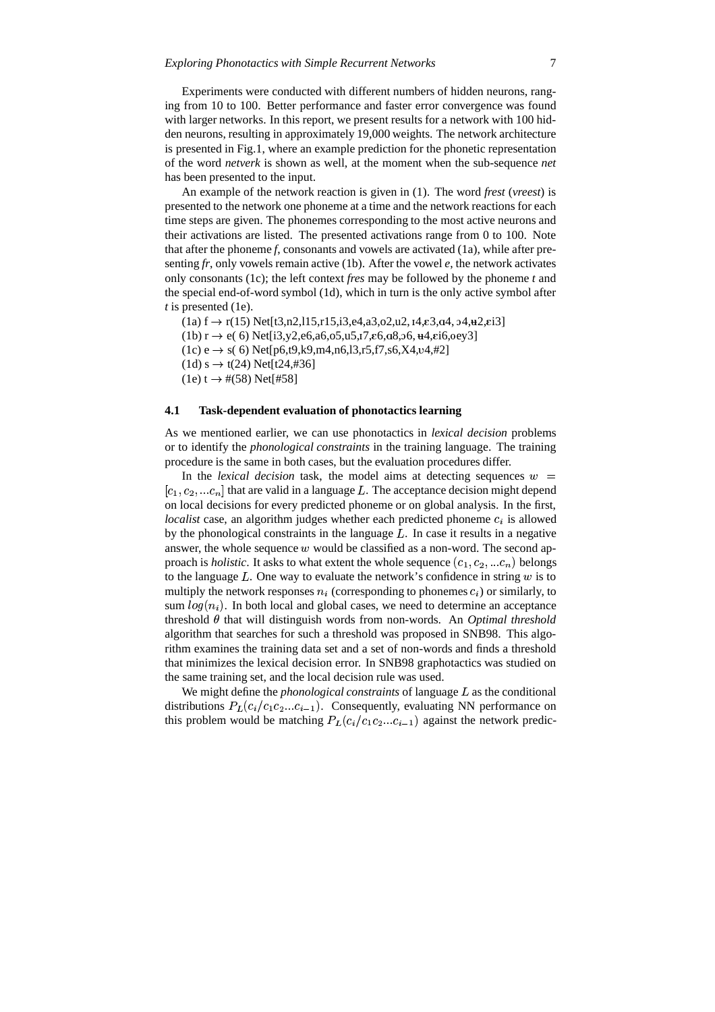Experiments were conducted with different numbers of hidden neurons, ranging from 10 to 100. Better performance and faster error convergence was found with larger networks. In this report, we present results for a network with 100 hidden neurons, resulting in approximately 19,000 weights. The network architecture is presented in Fig.1, where an example prediction for the phonetic representation of the word *netverk* is shown as well, at the moment when the sub-sequence *net* has been presented to the input.

An example of the network reaction is given in (1). The word *frest* (*vreest*) is presented to the network one phoneme at a time and the network reactions for each time steps are given. The phonemes corresponding to the most active neurons and their activations are listed. The presented activations range from 0 to 100. Note that after the phoneme *f*, consonants and vowels are activated (1a), while after presenting *fr*, only vowels remain active (1b). After the vowel *e*, the network activates only consonants (1c); the left context *fres* may be followed by the phoneme *t* and the special end-of-word symbol (1d), which in turn is the only active symbol after *t* is presented (1e).

 $(1a) f \rightarrow r(15) Net[t3,n2,115,r15,i3,e4,a3,02,u2,14,e3,a4,94,u2,ei3]$ 

 $(1b)$  r  $\rightarrow$  e( 6) Net[i3,y2,e6,a6,o5,u5,<sub>1</sub>7, $\epsilon$ 6,a8,o6,  $\pm$ 4, $\epsilon$ i6,oey3]

 $(1c)$  e  $\rightarrow$  s( 6) Net[p6,t9,k9,m4,n6,l3,r5,f7,s6,X4,v4,#2]

 $(1d) s \rightarrow t(24)$  Net[t24,#36]

 $(1e) t \rightarrow \#(58)$  Net[#58]

#### **4.1 Task-dependent evaluation of phonotactics learning**

As we mentioned earlier, we can use phonotactics in *lexical decision* problems or to identify the *phonological constraints* in the training language. The training procedure is the same in both cases, but the evaluation procedures differ.

In the *lexical decision* task, the model aims at detecting sequences  $w =$  $[c_1, c_2, ... c_n]$  that are valid in a language L. The acceptance decision might depend on local decisions for every predicted phoneme or on global analysis. In the first, *localist* case, an algorithm judges whether each predicted phoneme  $c_i$  is allowed by the phonological constraints in the language  $L$ . In case it results in a negative answer, the whole sequence  $w$  would be classified as a non-word. The second approach is *holistic*. It asks to what extent the whole sequence  $(c_1, c_2, ... c_n)$  belongs to the language  $L$ . One way to evaluate the network's confidence in string  $w$  is to multiply the network responses  $n_i$  (corresponding to phonemes  $c_i$ ) or similarly, to sum  $log(n_i)$ . In both local and global cases, we need to determine an acceptance threshold  $\theta$  that will distinguish words from non-words. An *Optimal threshold* algorithm that searches for such a threshold was proposed in SNB98. This algorithm examines the training data set and a set of non-words and finds a threshold that minimizes the lexical decision error. In SNB98 graphotactics was studied on the same training set, and the local decision rule was used.

We might define the *phonological constraints* of language  $L$  as the conditional distributions  $P_L(c_i/c_1 c_2 ... c_{i-1})$ . Consequently, evaluating NN performance on this problem would be matching  $P_L(c_i/c_1 c_2 ... c_{i-1})$  against the network predic-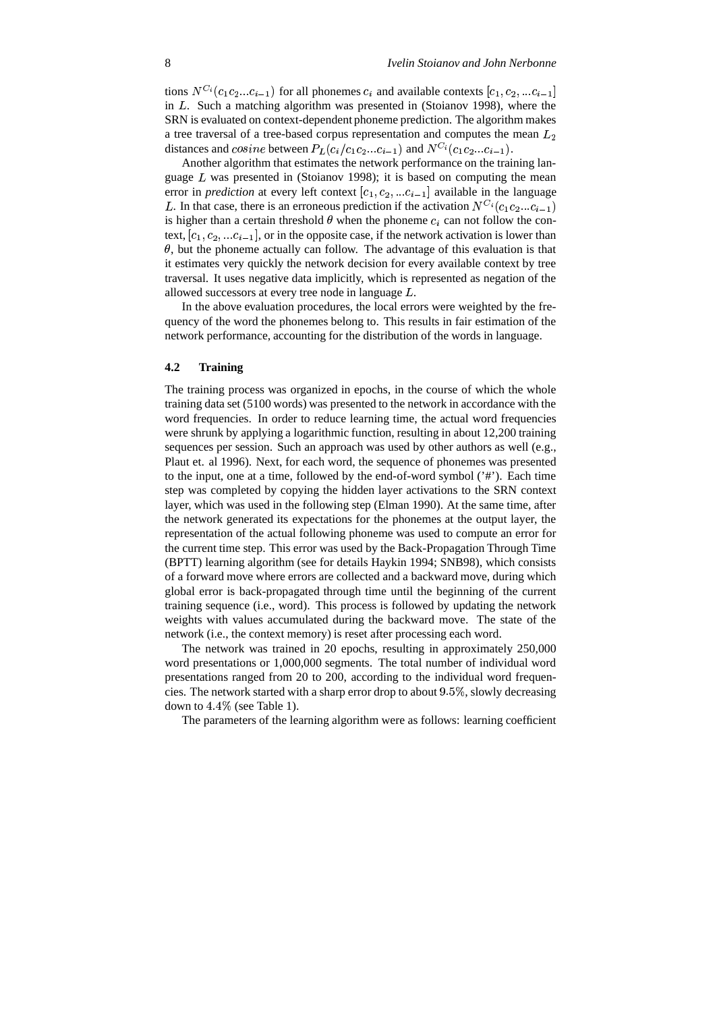tions  $N^{C_i}(c_1c_2...c_{i-1})$  for all phonemes  $c_i$  and available contexts  $[c_1, c_2, ...c_{i-1}]$ in  $L$ . Such a matching algorithm was presented in (Stoianov 1998), where the SRN is evaluated on context-dependent phoneme prediction. The algorithm makes a tree traversal of a tree-based corpus representation and computes the mean  $L_2$ distances and  $cosine$  between  $P_L(c_i/c_1c_2...c_{i-1})$  and  $N^{C_i}(c_1c_2...c_{i-1})$ .

Another algorithm that estimates the network performance on the training language  $L$  was presented in (Stoianov 1998); it is based on computing the mean error in *prediction* at every left context  $[c_1, c_2, ...c_{i-1}]$  available in the language L. In that case, there is an erroneous prediction if the activation  $N^{C_i}(c_1c_2...c_{i-1})$ is higher than a certain threshold  $\theta$  when the phoneme  $c_i$  can not follow the context,  $[c_1, c_2, ... c_{i-1}]$ , or in the opposite case, if the network activation is lower than  $\theta$ , but the phoneme actually can follow. The advantage of this evaluation is that it estimates very quickly the network decision for every available context by tree traversal. It uses negative data implicitly, which is represented as negation of the allowed successors at every tree node in language  $L$ .

In the above evaluation procedures, the local errors were weighted by the frequency of the word the phonemes belong to. This results in fair estimation of the network performance, accounting for the distribution of the words in language.

#### **4.2 Training**

The training process was organized in epochs, in the course of which the whole training data set (5100 words) was presented to the network in accordance with the word frequencies. In order to reduce learning time, the actual word frequencies were shrunk by applying a logarithmic function, resulting in about 12,200 training sequences per session. Such an approach was used by other authors as well (e.g., Plaut et. al 1996). Next, for each word, the sequence of phonemes was presented to the input, one at a time, followed by the end-of-word symbol ('#'). Each time step was completed by copying the hidden layer activations to the SRN context layer, which was used in the following step (Elman 1990). At the same time, after the network generated its expectations for the phonemes at the output layer, the representation of the actual following phoneme was used to compute an error for the current time step. This error was used by the Back-Propagation Through Time (BPTT) learning algorithm (see for details Haykin 1994; SNB98), which consists of a forward move where errors are collected and a backward move, during which global error is back-propagated through time until the beginning of the current training sequence (i.e., word). This process is followed by updating the network weights with values accumulated during the backward move. The state of the network (i.e., the context memory) is reset after processing each word.

The network was trained in 20 epochs, resulting in approximately 250,000 word presentations or 1,000,000 segments. The total number of individual word presentations ranged from 20 to 200, according to the individual word frequencies. The network started with a sharp error drop to about  $9.5\%$ , slowly decreasing down to  $4.4\%$  (see Table 1).

The parameters of the learning algorithm were as follows: learning coefficient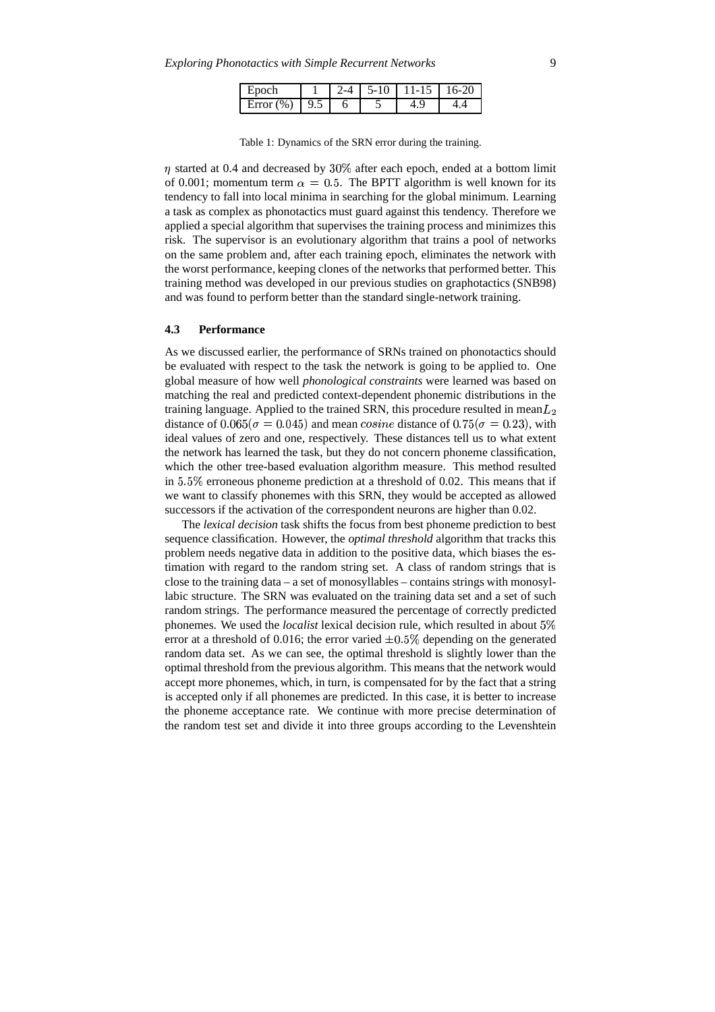| Epoch              |  | $5 - 10$ | $11 - 15$ 16-20 |  |  |
|--------------------|--|----------|-----------------|--|--|
| Error $(\%)$   9.5 |  |          |                 |  |  |

Table 1: Dynamics of the SRN error during the training.

 $\eta$  started at 0.4 and decreased by 30% after each epoch, ended at a bottom limit of 0.001; momentum term  $\alpha = 0.5$ . The BPTT algorithm is well known for its tendency to fall into local minima in searching for the global minimum. Learning a task as complex as phonotactics must guard against this tendency. Therefore we applied a special algorithm that supervises the training process and minimizes this risk. The supervisor is an evolutionary algorithm that trains a pool of networks on the same problem and, after each training epoch, eliminates the network with the worst performance, keeping clones of the networks that performed better. This training method was developed in our previous studies on graphotactics (SNB98) and was found to perform better than the standard single-network training.

#### **4.3 Performance**

As we discussed earlier, the performance of SRNs trained on phonotactics should be evaluated with respect to the task the network is going to be applied to. One global measure of how well *phonological constraints* were learned was based on matching the real and predicted context-dependent phonemic distributions in the training language. Applied to the trained SRN, this procedure resulted in mean $L_2$ distance of  $0.065(\sigma = 0.045)$  and mean *cosine* distance of  $0.75(\sigma = 0.23)$ , with ideal values of zero and one, respectively. These distances tell us to what extent the network has learned the task, but they do not concern phoneme classification, which the other tree-based evaluation algorithm measure. This method resulted in  $5.5\%$  erroneous phoneme prediction at a threshold of 0.02. This means that if we want to classify phonemes with this SRN, they would be accepted as allowed successors if the activation of the correspondent neurons are higher than 0.02.

The *lexical decision* task shifts the focus from best phoneme prediction to best sequence classification. However, the *optimal threshold* algorithm that tracks this problem needs negative data in addition to the positive data, which biases the estimation with regard to the random string set. A class of random strings that is close to the training data – a set of monosyllables – contains strings with monosyllabic structure. The SRN was evaluated on the training data set and a set of such random strings. The performance measured the percentage of correctly predicted phonemes. We used the *localist* lexical decision rule, which resulted in about error at a threshold of 0.016; the error varied  $\pm 0.5\%$  depending on the generated random data set. As we can see, the optimal threshold is slightly lower than the optimal threshold from the previous algorithm. This means that the network would accept more phonemes, which, in turn, is compensated for by the fact that a string is accepted only if all phonemes are predicted. In this case, it is better to increase the phoneme acceptance rate. We continue with more precise determination of the random test set and divide it into three groups according to the Levenshtein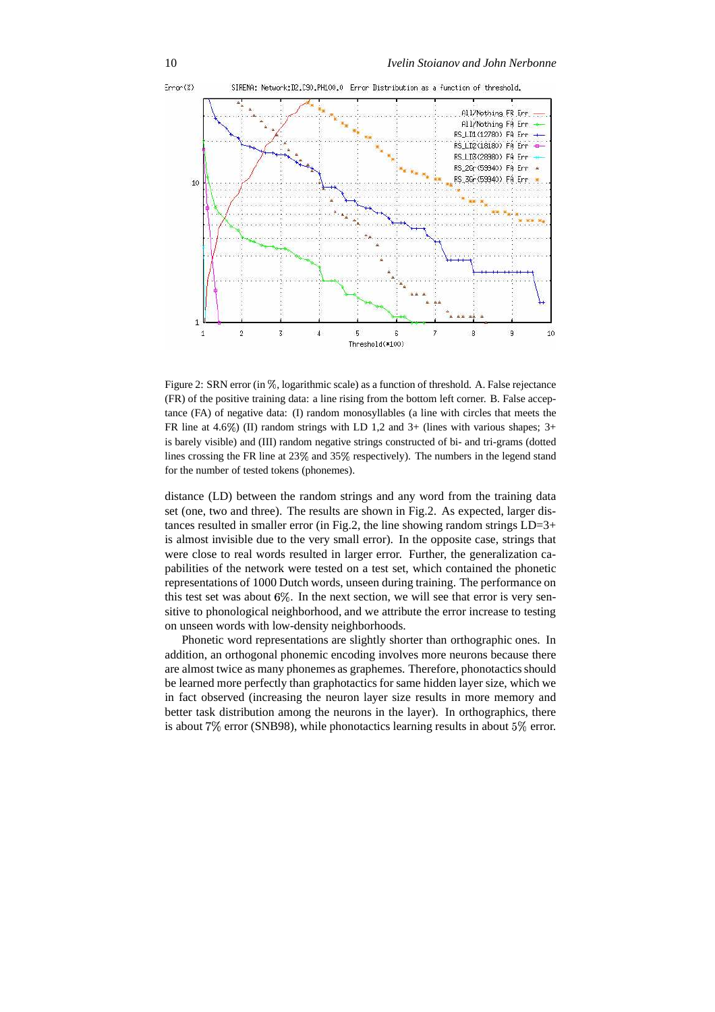

Figure 2: SRN error (in %, logarithmic scale) as a function of threshold. A. False rejectance (FR) of the positive training data: a line rising from the bottom left corner. B. False acceptance (FA) of negative data: (I) random monosyllables (a line with circles that meets the FR line at 4.6%) (II) random strings with LD 1,2 and 3+ (lines with various shapes;  $3+$ is barely visible) and (III) random negative strings constructed of bi- and tri-grams (dotted lines crossing the FR line at  $23\%$  and  $35\%$  respectively). The numbers in the legend stand for the number of tested tokens (phonemes).

distance (LD) between the random strings and any word from the training data set (one, two and three). The results are shown in Fig.2. As expected, larger distances resulted in smaller error (in Fig.2, the line showing random strings  $LD=3+$ is almost invisible due to the very small error). In the opposite case, strings that were close to real words resulted in larger error. Further, the generalization capabilities of the network were tested on a test set, which contained the phonetic representations of 1000 Dutch words, unseen during training. The performance on this test set was about  $6\%$ . In the next section, we will see that error is very sensitive to phonological neighborhood, and we attribute the error increase to testing on unseen words with low-density neighborhoods.

Phonetic word representations are slightly shorter than orthographic ones. In addition, an orthogonal phonemic encoding involves more neurons because there are almost twice as many phonemes as graphemes. Therefore, phonotactics should be learned more perfectly than graphotactics for same hidden layer size, which we in fact observed (increasing the neuron layer size results in more memory and better task distribution among the neurons in the layer). In orthographics, there is about  $7\%$  error (SNB98), while phonotactics learning results in about  $5\%$  error.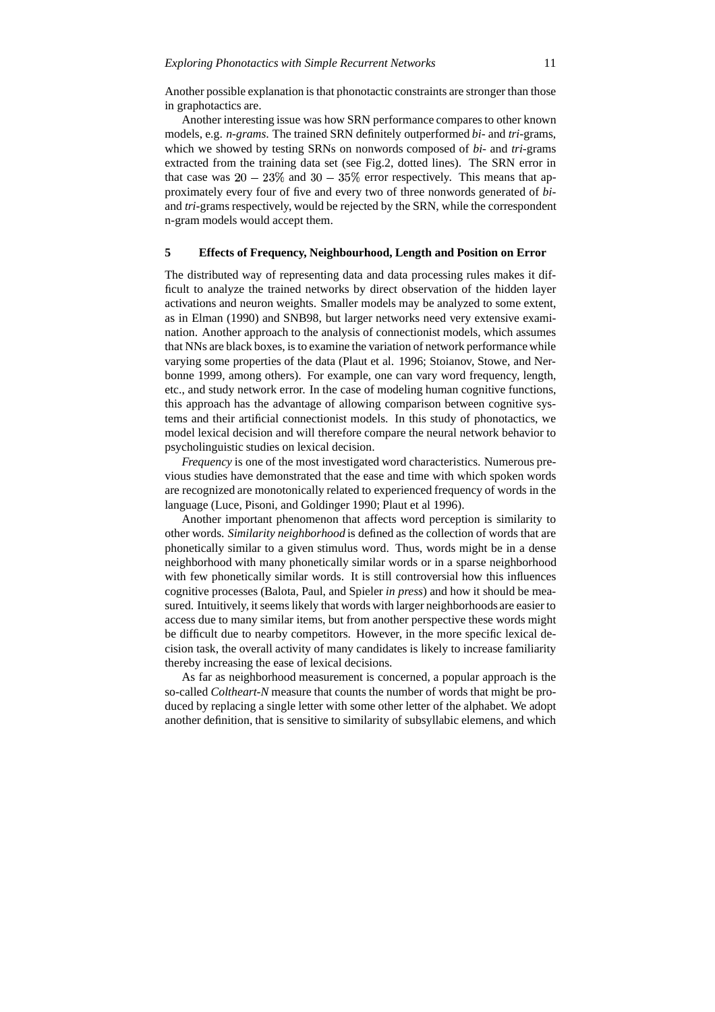Another possible explanation is that phonotactic constraints are stronger than those in graphotactics are.

Another interesting issue was how SRN performance compares to other known models, e.g. *n-grams*. The trained SRN definitely outperformed *bi*- and *tri*-grams, which we showed by testing SRNs on nonwords composed of *bi*- and *tri*-grams extracted from the training data set (see Fig.2, dotted lines). The SRN error in that case was  $20 - 23\%$  and  $30 - 35\%$  error respectively. This means that approximately every four of five and every two of three nonwords generated of *bi*and *tri*-grams respectively, would be rejected by the SRN, while the correspondent n-gram models would accept them.

# **5 Effects of Frequency, Neighbourhood, Length and Position on Error**

The distributed way of representing data and data processing rules makes it difficult to analyze the trained networks by direct observation of the hidden layer activations and neuron weights. Smaller models may be analyzed to some extent, as in Elman (1990) and SNB98, but larger networks need very extensive examination. Another approach to the analysis of connectionist models, which assumes that NNs are black boxes, is to examine the variation of network performance while varying some properties of the data (Plaut et al. 1996; Stoianov, Stowe, and Nerbonne 1999, among others). For example, one can vary word frequency, length, etc., and study network error. In the case of modeling human cognitive functions, this approach has the advantage of allowing comparison between cognitive systems and their artificial connectionist models. In this study of phonotactics, we model lexical decision and will therefore compare the neural network behavior to psycholinguistic studies on lexical decision.

*Frequency* is one of the most investigated word characteristics. Numerous previous studies have demonstrated that the ease and time with which spoken words are recognized are monotonically related to experienced frequency of words in the language (Luce, Pisoni, and Goldinger 1990; Plaut et al 1996).

Another important phenomenon that affects word perception is similarity to other words. *Similarity neighborhood* is defined as the collection of words that are phonetically similar to a given stimulus word. Thus, words might be in a dense neighborhood with many phonetically similar words or in a sparse neighborhood with few phonetically similar words. It is still controversial how this influences cognitive processes (Balota, Paul, and Spieler *in press*) and how it should be measured. Intuitively, it seems likely that words with larger neighborhoods are easier to access due to many similar items, but from another perspective these words might be difficult due to nearby competitors. However, in the more specific lexical decision task, the overall activity of many candidates is likely to increase familiarity thereby increasing the ease of lexical decisions.

As far as neighborhood measurement is concerned, a popular approach is the so-called *Coltheart-N* measure that counts the number of words that might be produced by replacing a single letter with some other letter of the alphabet. We adopt another definition, that is sensitive to similarity of subsyllabic elemens, and which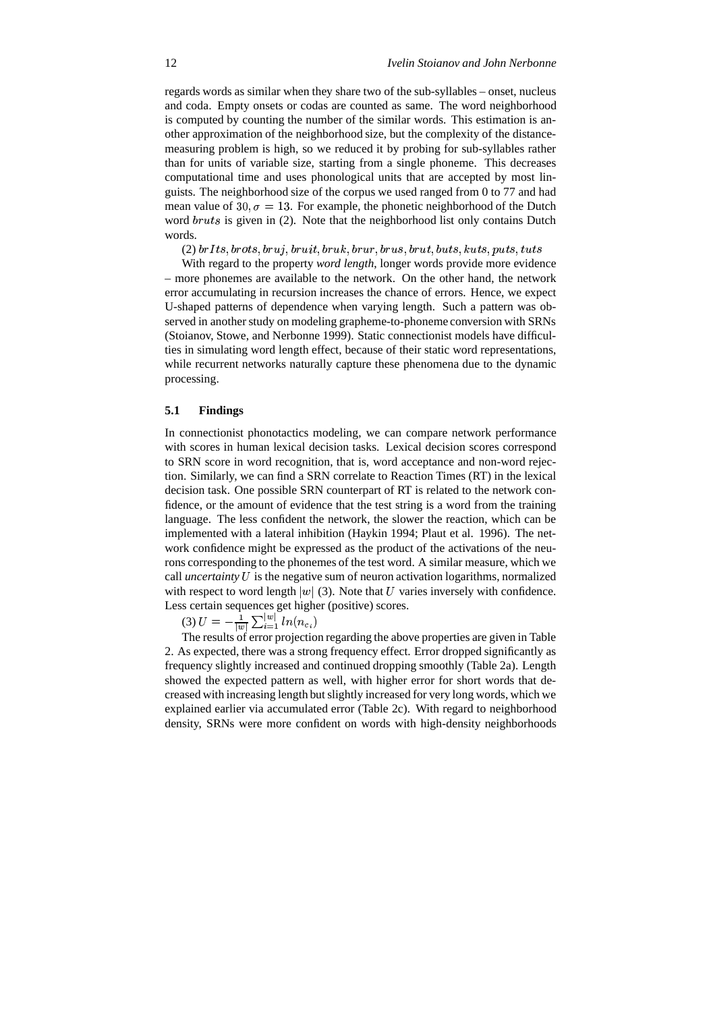regards words as similar when they share two of the sub-syllables – onset, nucleus and coda. Empty onsets or codas are counted as same. The word neighborhood is computed by counting the number of the similar words. This estimation is another approximation of the neighborhood size, but the complexity of the distancemeasuring problem is high, so we reduced it by probing for sub-syllables rather than for units of variable size, starting from a single phoneme. This decreases computational time and uses phonological units that are accepted by most linguists. The neighborhood size of the corpus we used ranged from 0 to 77 and had mean value of 30,  $\sigma = 13$ . For example, the phonetic neighborhood of the Dutch word  $bruts$  is given in (2). Note that the neighborhood list only contains Dutch words.

 $\left( 2\right)$  br $It$ s, brots, br $u$ j, br $uit,$  br $uk,$  br $ur,$  br $us,$  br $ut,$  buts,  $kuts, puts, tuts$ 

With regard to the property *word length*, longer words provide more evidence – more phonemes are available to the network. On the other hand, the network error accumulating in recursion increases the chance of errors. Hence, we expect U-shaped patterns of dependence when varying length. Such a pattern was observed in another study on modeling grapheme-to-phoneme conversion with SRNs (Stoianov, Stowe, and Nerbonne 1999). Static connectionist models have difficulties in simulating word length effect, because of their static word representations, while recurrent networks naturally capture these phenomena due to the dynamic processing.

#### **5.1 Findings**

In connectionist phonotactics modeling, we can compare network performance with scores in human lexical decision tasks. Lexical decision scores correspond to SRN score in word recognition, that is, word acceptance and non-word rejection. Similarly, we can find a SRN correlate to Reaction Times (RT) in the lexical decision task. One possible SRN counterpart of RT is related to the network confidence, or the amount of evidence that the test string is a word from the training language. The less confident the network, the slower the reaction, which can be implemented with a lateral inhibition (Haykin 1994; Plaut et al. 1996). The network confidence might be expressed as the product of the activations of the neurons corresponding to the phonemes of the test word. A similar measure, which we call *uncertainty* U is the negative sum of neuron activation logarithms, normalized with respect to word length  $|w|$  (3). Note that U varies inversely with confidence. Less certain sequences get higher (positive) scores.

(3)  $U = -\frac{1}{|w|} \sum_{i=1}^{|w|} ln(i)$  $\frac{1}{\sqrt{2}} \nabla^{[w]} \ln(n)$  $\frac{|w|}{i=1}$   $ln(n_{c_i})$ 

The results of error projection regarding the above properties are given in Table 2. As expected, there was a strong frequency effect. Error dropped significantly as frequency slightly increased and continued dropping smoothly (Table 2a). Length showed the expected pattern as well, with higher error for short words that decreased with increasing length butslightly increased for very long words, which we explained earlier via accumulated error (Table 2c). With regard to neighborhood density, SRNs were more confident on words with high-density neighborhoods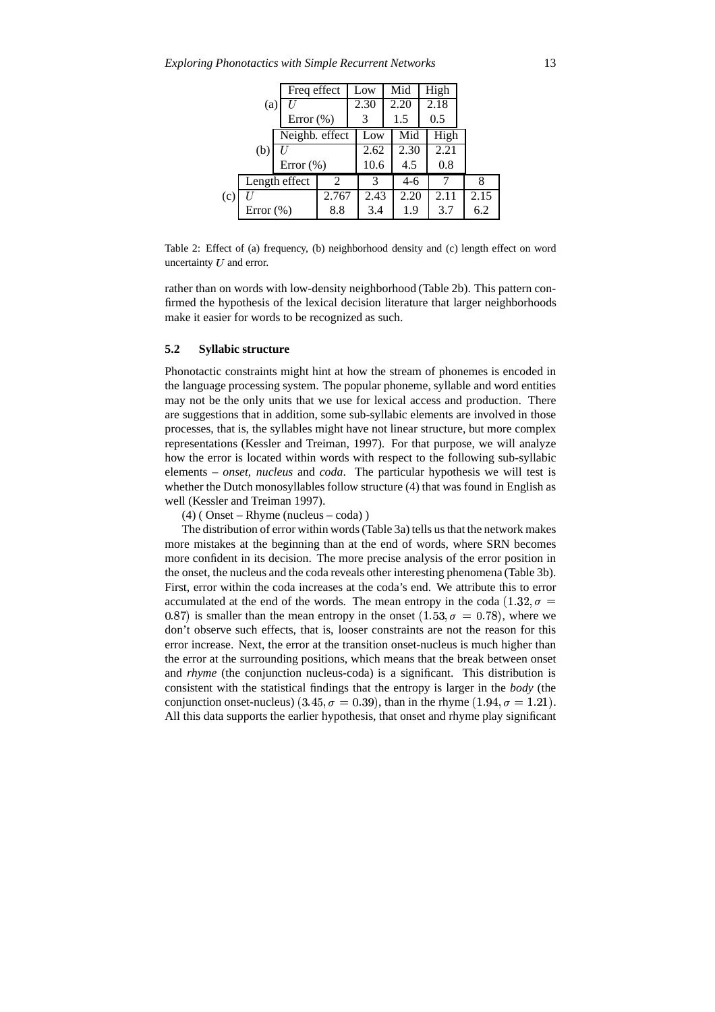| Freq effect<br>(a) |              |               |                | Low  |      | Mid  |       | High |      |  |      |
|--------------------|--------------|---------------|----------------|------|------|------|-------|------|------|--|------|
|                    |              |               |                | 2.30 |      | 2.20 |       | 2.18 |      |  |      |
| Error $(\%)$       |              |               |                | 3    |      | 1.5  |       | 0.5  |      |  |      |
|                    |              |               | Neighb. effect |      | Low  |      | Mid   |      | High |  |      |
| (b)                |              |               |                |      | 2.62 |      | 2.30  |      | 2.21 |  |      |
|                    |              | Error $(\% )$ |                |      | 10.6 |      | 4.5   |      | 0.8  |  |      |
| Length effect      |              |               | 2              |      | 3    |      | $4-6$ |      |      |  | 8    |
| (c)                |              |               | 2.767          |      | 2.43 |      | 2.20  |      | 2.11 |  | 2.15 |
|                    | Error $(\%)$ |               | 8.8            |      | 3.4  |      | 1.9   |      | 3.7  |  | 6.2  |

Table 2: Effect of (a) frequency, (b) neighborhood density and (c) length effect on word uncertainty  $U$  and error.

rather than on words with low-density neighborhood (Table 2b). This pattern confirmed the hypothesis of the lexical decision literature that larger neighborhoods make it easier for words to be recognized as such.

#### **5.2 Syllabic structure**

Phonotactic constraints might hint at how the stream of phonemes is encoded in the language processing system. The popular phoneme, syllable and word entities may not be the only units that we use for lexical access and production. There are suggestions that in addition, some sub-syllabic elements are involved in those processes, that is, the syllables might have not linear structure, but more complex representations (Kessler and Treiman, 1997). For that purpose, we will analyze how the error is located within words with respect to the following sub-syllabic elements – *onset, nucleus* and *coda*. The particular hypothesis we will test is whether the Dutch monosyllables follow structure (4) that was found in English as well (Kessler and Treiman 1997).

(4) ( Onset – Rhyme (nucleus – coda) )

The distribution of error within words(Table 3a) tells us that the network makes more mistakes at the beginning than at the end of words, where SRN becomes more confident in its decision. The more precise analysis of the error position in the onset, the nucleus and the coda reveals other interesting phenomena (Table 3b). First, error within the coda increases at the coda's end. We attribute this to error accumulated at the end of the words. The mean entropy in the coda  $(1.32, \sigma =$ 0.87) is smaller than the mean entropy in the onset  $(1.53, \sigma = 0.78)$ , where we don't observe such effects, that is, looser constraints are not the reason for this error increase. Next, the error at the transition onset-nucleus is much higher than the error at the surrounding positions, which means that the break between onset and *rhyme* (the conjunction nucleus-coda) is a significant. This distribution is consistent with the statistical findings that the entropy is larger in the *body* (the conjunction onset-nucleus)  $(3.45, \sigma = 0.39)$ , than in the rhyme  $(1.94, \sigma = 1.21)$ . All this data supports the earlier hypothesis, that onset and rhyme play significant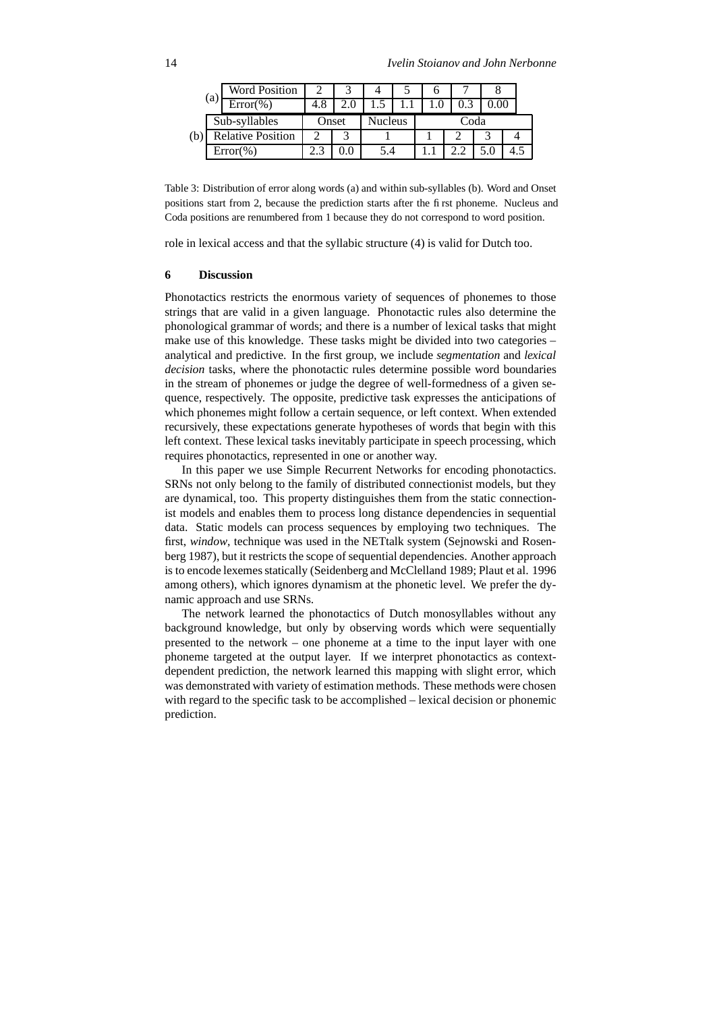|                          | <b>Word Position</b> |                                 |  |  |  |  |  |  |
|--------------------------|----------------------|---------------------------------|--|--|--|--|--|--|
| (a)                      | $Error(\%)$          | 4.8                             |  |  |  |  |  |  |
| Sub-syllables            |                      | <b>Nucleus</b><br>Coda<br>Onset |  |  |  |  |  |  |
| <b>Relative Position</b> |                      |                                 |  |  |  |  |  |  |
| $Error(\% )$             |                      | $\mathcal{L}$                   |  |  |  |  |  |  |

Table 3: Distribution of error along words (a) and within sub-syllables (b). Word and Onset positions start from 2, because the prediction starts after the first phoneme. Nucleus and Coda positions are renumbered from 1 because they do not correspond to word position.

role in lexical access and that the syllabic structure (4) is valid for Dutch too.

#### **6 Discussion**

Phonotactics restricts the enormous variety of sequences of phonemes to those strings that are valid in a given language. Phonotactic rules also determine the phonological grammar of words; and there is a number of lexical tasks that might make use of this knowledge. These tasks might be divided into two categories – analytical and predictive. In the first group, we include *segmentation* and *lexical decision* tasks, where the phonotactic rules determine possible word boundaries in the stream of phonemes or judge the degree of well-formedness of a given sequence, respectively. The opposite, predictive task expresses the anticipations of which phonemes might follow a certain sequence, or left context. When extended recursively, these expectations generate hypotheses of words that begin with this left context. These lexical tasks inevitably participate in speech processing, which requires phonotactics, represented in one or another way.

In this paper we use Simple Recurrent Networks for encoding phonotactics. SRNs not only belong to the family of distributed connectionist models, but they are dynamical, too. This property distinguishes them from the static connectionist models and enables them to process long distance dependencies in sequential data. Static models can process sequences by employing two techniques. The first, *window*, technique was used in the NETtalk system (Sejnowski and Rosenberg 1987), but it restricts the scope of sequential dependencies. Another approach is to encode lexemes statically (Seidenberg and McClelland 1989; Plaut et al. 1996 among others), which ignores dynamism at the phonetic level. We prefer the dynamic approach and use SRNs.

The network learned the phonotactics of Dutch monosyllables without any background knowledge, but only by observing words which were sequentially presented to the network – one phoneme at a time to the input layer with one phoneme targeted at the output layer. If we interpret phonotactics as contextdependent prediction, the network learned this mapping with slight error, which was demonstrated with variety of estimation methods. These methods were chosen with regard to the specific task to be accomplished – lexical decision or phonemic prediction.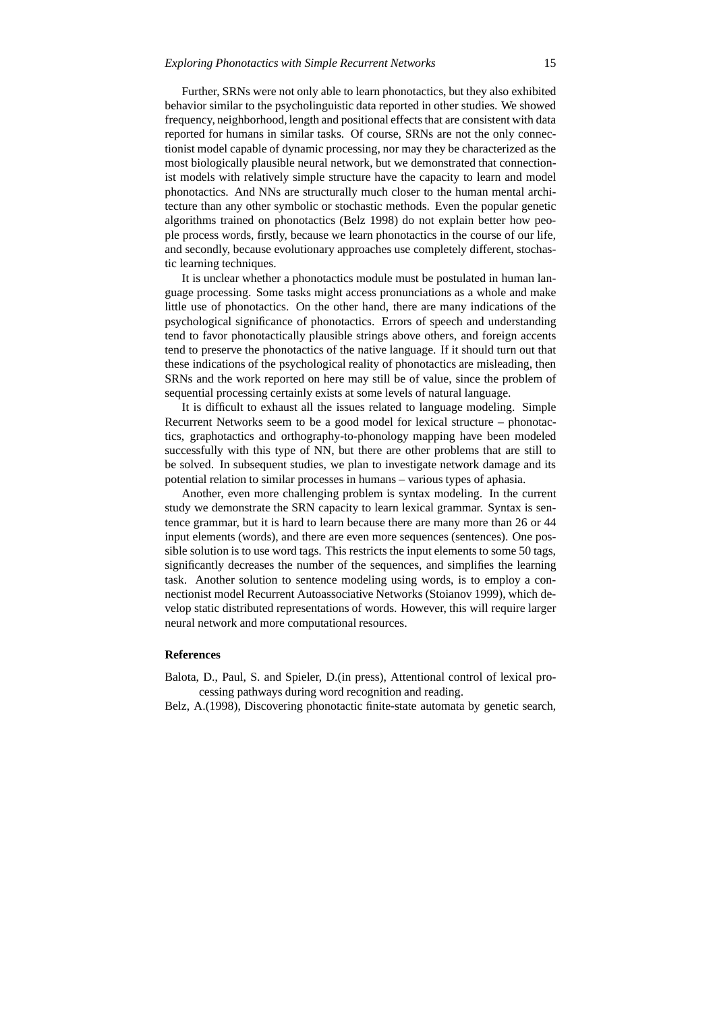Further, SRNs were not only able to learn phonotactics, but they also exhibited behavior similar to the psycholinguistic data reported in other studies. We showed frequency, neighborhood, length and positional effects that are consistent with data reported for humans in similar tasks. Of course, SRNs are not the only connectionist model capable of dynamic processing, nor may they be characterized as the most biologically plausible neural network, but we demonstrated that connectionist models with relatively simple structure have the capacity to learn and model phonotactics. And NNs are structurally much closer to the human mental architecture than any other symbolic or stochastic methods. Even the popular genetic algorithms trained on phonotactics (Belz 1998) do not explain better how people process words, firstly, because we learn phonotactics in the course of our life, and secondly, because evolutionary approaches use completely different, stochastic learning techniques.

It is unclear whether a phonotactics module must be postulated in human language processing. Some tasks might access pronunciations as a whole and make little use of phonotactics. On the other hand, there are many indications of the psychological significance of phonotactics. Errors of speech and understanding tend to favor phonotactically plausible strings above others, and foreign accents tend to preserve the phonotactics of the native language. If it should turn out that these indications of the psychological reality of phonotactics are misleading, then SRNs and the work reported on here may still be of value, since the problem of sequential processing certainly exists at some levels of natural language.

It is difficult to exhaust all the issues related to language modeling. Simple Recurrent Networks seem to be a good model for lexical structure – phonotactics, graphotactics and orthography-to-phonology mapping have been modeled successfully with this type of NN, but there are other problems that are still to be solved. In subsequent studies, we plan to investigate network damage and its potential relation to similar processes in humans – various types of aphasia.

Another, even more challenging problem is syntax modeling. In the current study we demonstrate the SRN capacity to learn lexical grammar. Syntax is sentence grammar, but it is hard to learn because there are many more than 26 or 44 input elements (words), and there are even more sequences (sentences). One possible solution is to use word tags. This restricts the input elements to some 50 tags, significantly decreases the number of the sequences, and simplifies the learning task. Another solution to sentence modeling using words, is to employ a connectionist model Recurrent Autoassociative Networks (Stoianov 1999), which develop static distributed representations of words. However, this will require larger neural network and more computational resources.

## **References**

Balota, D., Paul, S. and Spieler, D.(in press), Attentional control of lexical processing pathways during word recognition and reading.

Belz, A.(1998), Discovering phonotactic finite-state automata by genetic search,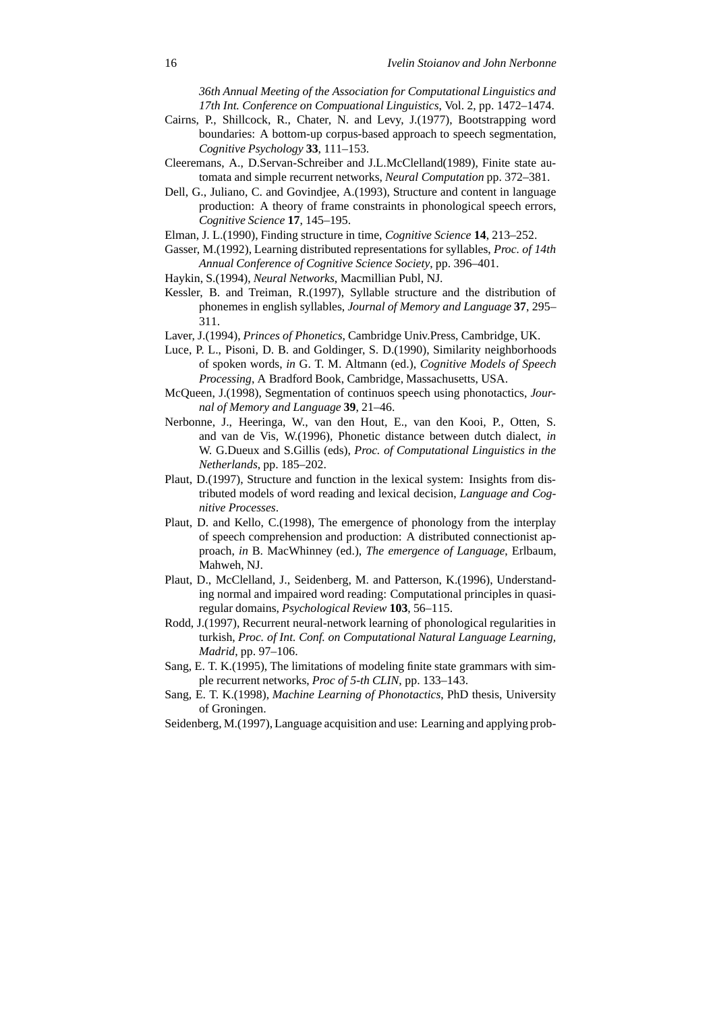*36th Annual Meeting of the Association for Computational Linguistics and 17th Int. Conference on Compuational Linguistics*, Vol. 2, pp. 1472–1474.

- Cairns, P., Shillcock, R., Chater, N. and Levy, J.(1977), Bootstrapping word boundaries: A bottom-up corpus-based approach to speech segmentation, *Cognitive Psychology* **33**, 111–153.
- Cleeremans, A., D.Servan-Schreiber and J.L.McClelland(1989), Finite state automata and simple recurrent networks, *Neural Computation* pp. 372–381.
- Dell, G., Juliano, C. and Govindjee, A.(1993), Structure and content in language production: A theory of frame constraints in phonological speech errors, *Cognitive Science* **17**, 145–195.
- Elman, J. L.(1990), Finding structure in time, *Cognitive Science* **14**, 213–252.
- Gasser, M.(1992), Learning distributed representations for syllables, *Proc. of 14th Annual Conference of Cognitive Science Society*, pp. 396–401.
- Haykin, S.(1994), *Neural Networks*, Macmillian Publ, NJ.
- Kessler, B. and Treiman, R.(1997), Syllable structure and the distribution of phonemes in english syllables, *Journal of Memory and Language* **37**, 295– 311.
- Laver, J.(1994), *Princes of Phonetics*, Cambridge Univ.Press, Cambridge, UK.
- Luce, P. L., Pisoni, D. B. and Goldinger, S. D.(1990), Similarity neighborhoods of spoken words, *in* G. T. M. Altmann (ed.), *Cognitive Models of Speech Processing*, A Bradford Book, Cambridge, Massachusetts, USA.
- McQueen, J.(1998), Segmentation of continuos speech using phonotactics, *Journal of Memory and Language* **39**, 21–46.
- Nerbonne, J., Heeringa, W., van den Hout, E., van den Kooi, P., Otten, S. and van de Vis, W.(1996), Phonetic distance between dutch dialect, *in* W. G.Dueux and S.Gillis (eds), *Proc. of Computational Linguistics in the Netherlands*, pp. 185–202.
- Plaut, D.(1997), Structure and function in the lexical system: Insights from distributed models of word reading and lexical decision, *Language and Cognitive Processes*.
- Plaut, D. and Kello, C.(1998), The emergence of phonology from the interplay of speech comprehension and production: A distributed connectionist approach, *in* B. MacWhinney (ed.), *The emergence of Language*, Erlbaum, Mahweh, NJ.
- Plaut, D., McClelland, J., Seidenberg, M. and Patterson, K.(1996), Understanding normal and impaired word reading: Computational principles in quasiregular domains, *Psychological Review* **103**, 56–115.
- Rodd, J.(1997), Recurrent neural-network learning of phonological regularities in turkish, *Proc. of Int. Conf. on Computational Natural Language Learning, Madrid*, pp. 97–106.
- Sang, E. T. K.(1995), The limitations of modeling finite state grammars with simple recurrent networks, *Proc of 5-th CLIN*, pp. 133–143.
- Sang, E. T. K.(1998), *Machine Learning of Phonotactics*, PhD thesis, University of Groningen.
- Seidenberg, M.(1997), Language acquisition and use: Learning and applying prob-